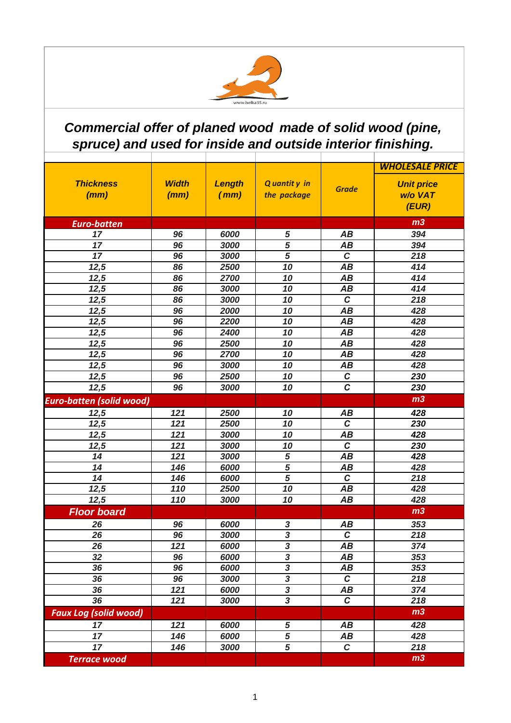

## *Commercial offer of planed wood made of solid wood (pine, spruce) and used for inside and outside interior finishing.*

|                                 |              |        |                         |                | <b>WHOLESALE PRICE</b> |
|---------------------------------|--------------|--------|-------------------------|----------------|------------------------|
| <b>Thickness</b>                | <b>Width</b> | Length | Q uantit y in           | <b>Grade</b>   | <b>Unit price</b>      |
| (mm)                            | (mm)         | (mm)   | the package             |                | w/o VAT                |
|                                 |              |        |                         |                | (EUR)                  |
| <b>Euro-batten</b>              |              |        |                         |                | m <sub>3</sub>         |
| 17                              | 96           | 6000   | 5                       | AB             | 394                    |
| 17                              | 96           | 3000   | 5                       | AB             | 394                    |
| 17                              | 96           | 3000   | 5                       | $\mathbf C$    | 218                    |
| $\overline{12,5}$               | 86           | 2500   | 10                      | AB             | 414                    |
| 12,5                            | 86           | 2700   | 10                      | AB             | 414                    |
| 12,5                            | 86           | 3000   | 10                      | AB             | 414                    |
| 12,5                            | 86           | 3000   | 10                      | $\overline{c}$ | 218                    |
| 12,5                            | 96           | 2000   | 10                      | AB             | 428                    |
| 12,5                            | 96           | 2200   | 10                      | AB             | 428                    |
| 12,5                            | 96           | 2400   | 10                      | AB             | 428                    |
| 12,5                            | 96           | 2500   | 10                      | AB             | 428                    |
| 12,5                            | 96           | 2700   | 10                      | AB             | 428                    |
| 12,5                            | 96           | 3000   | 10                      | AB             | 428                    |
| 12,5                            | 96           | 2500   | 10                      | $\mathcal C$   | 230                    |
| 12,5                            | 96           | 3000   | 10                      | $\overline{c}$ | 230                    |
| <b>Euro-batten (solid wood)</b> |              |        |                         |                | m <sub>3</sub>         |
| 12,5                            | 121          | 2500   | 10                      | AB             | 428                    |
| 12,5                            | 121          | 2500   | 10                      | $\mathbf c$    | 230                    |
| 12,5                            | 121          | 3000   | 10                      | AB             | 428                    |
| 12,5                            | 121          | 3000   | 10                      | $\mathbf c$    | 230                    |
| 14                              | 121          | 3000   | 5                       | AB             | 428                    |
| 14                              | 146          | 6000   | $\overline{5}$          | AB             | 428                    |
| 14                              | 146          | 6000   | $\overline{5}$          | $\mathbf c$    | 218                    |
| 12,5                            | 110          | 2500   | 10                      | AB             | 428                    |
| 12,5                            | 110          | 3000   | 10                      | AB             | 428                    |
| <b>Floor board</b>              |              |        |                         |                | m <sub>3</sub>         |
| 26                              | 96           | 6000   | 3                       | AB             | 353                    |
| 26                              | 96           | 3000   | $\overline{\mathbf{3}}$ | $\overline{c}$ | 218                    |
| 26                              | 121          | 6000   | $\boldsymbol{3}$        | AВ             | 374                    |
| $\overline{32}$                 | 96           | 6000   | $\overline{\mathbf{3}}$ | AB             | 353                    |
| 36                              | 96           | 6000   | $\overline{\mathbf{3}}$ | AB             | 353                    |
| 36                              | 96           | 3000   | $\overline{\mathbf{3}}$ | $\mathbf c$    | 218                    |
| 36                              | 121          | 6000   | $\overline{\mathbf{3}}$ | AB             | 374                    |
| 36                              | 121          | 3000   | $\overline{\mathbf{3}}$ | $\mathbf c$    | 218                    |
| <b>Faux Log (solid wood)</b>    |              |        |                         |                | m <sub>3</sub>         |
| 17                              | 121          | 6000   | ${\bf 5}$               | AB             | 428                    |
| 17                              | 146          | 6000   | 5                       | AB             | 428                    |
| $\overline{17}$                 | 146          | 3000   | $\overline{5}$          | $\mathbf c$    | 218                    |
| <b>Terrace wood</b>             |              |        |                         |                | m <sub>3</sub>         |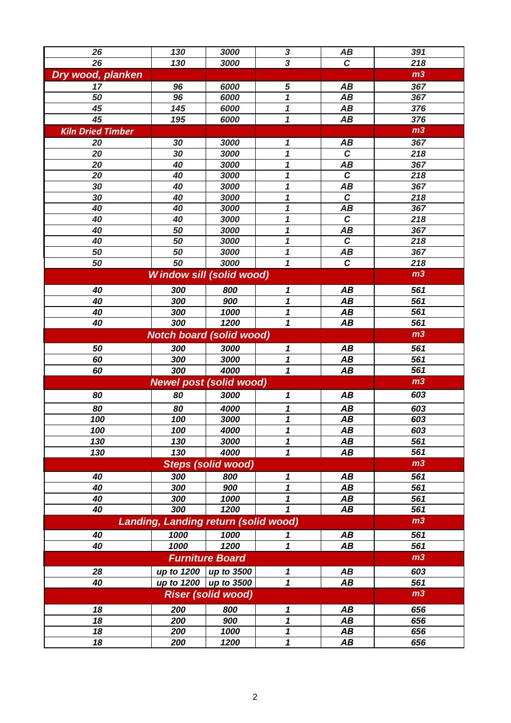| 26                       | 130                                         | 3000                      | $\boldsymbol{3}$           | AB             | 391            |
|--------------------------|---------------------------------------------|---------------------------|----------------------------|----------------|----------------|
| 26                       | 130                                         | 3000                      | $\overline{\mathbf{3}}$    | $\mathbf C$    | 218            |
| Dry wood, planken        |                                             |                           |                            |                | m <sub>3</sub> |
| 17                       | 96                                          | 6000                      | 5                          | AB             | 367            |
| 50                       | 96                                          | 6000                      | $\mathbf 1$                | AB             | 367            |
| 45                       | 145                                         | 6000                      | $\boldsymbol{1}$           | AB             | 376            |
| 45                       | 195                                         | 6000                      | $\mathbf 1$                | AB             | 376            |
| <b>Kiln Dried Timber</b> |                                             |                           |                            |                | m <sub>3</sub> |
| 20                       | 30                                          | 3000                      | $\boldsymbol{\mathcal{L}}$ | AB             | 367            |
| 20                       | 30                                          | 3000                      | $\overline{\mathbf{1}}$    | $\overline{c}$ | 218            |
| 20                       | 40                                          | 3000                      | $\boldsymbol{1}$           | AB             | 367            |
| 20                       | 40                                          | 3000                      | $\boldsymbol{1}$           | $\mathcal C$   | 218            |
| 30                       | 40                                          | 3000                      | $\mathbf 1$                | AB             | 367            |
| 30                       | 40                                          | 3000                      | $\mathbf 1$                | $\overline{c}$ | 218            |
| 40                       | 40                                          | 3000                      | $\mathbf 1$                | AB             | 367            |
| 40                       | 40                                          | 3000                      | $\boldsymbol{1}$           | $\overline{c}$ | 218            |
| 40                       | 50                                          | 3000                      | 1                          | AB             | 367            |
| 40                       | 50                                          | 3000                      | 1                          | $\overline{c}$ | 218            |
| 50                       | 50                                          | 3000                      | $\boldsymbol{1}$           | AB             | 367            |
| 50                       | 50                                          | 3000                      | $\overline{\mathbf{1}}$    | $\overline{c}$ | 218            |
|                          | <b>Window sill (solid wood)</b>             |                           |                            |                | m <sub>3</sub> |
| 40                       | 300                                         | 800                       | 1                          | AB             | 561            |
| 40                       | 300                                         | 900                       | 1                          | AB             | 561            |
| 40                       | 300                                         | 1000                      | 1                          | AB             | 561            |
| 40                       | 300                                         | 1200                      | $\mathbf 1$                | AB             | 561            |
|                          | <b>Notch board (solid wood)</b>             |                           |                            |                | m <sub>3</sub> |
| 50                       | 300                                         | 3000                      | 1                          | AB             | 561            |
| 60                       | 300                                         | 3000                      | 1                          | AB             | 561            |
| 60                       | 300                                         | 4000                      | $\overline{\mathbf{1}}$    | AB             | 561            |
|                          | <b>Newel post (solid wood)</b>              |                           |                            |                | m <sub>3</sub> |
| 80                       | 80                                          | 3000                      | 1                          | AB             | 603            |
|                          |                                             |                           |                            |                |                |
| 80                       | 80                                          | 4000                      | 1                          | AB             | 603            |
| 100                      | 100                                         | 3000                      | 1                          | AB             | 603            |
| 100                      | 100                                         | 4000                      | 1                          | AB             | 603            |
| 130                      | 130                                         | 3000                      | 1                          | AB             | 561            |
| 130                      | 130                                         | 4000                      | 1                          | AB             | 561            |
|                          |                                             | <b>Steps (solid wood)</b> |                            |                | m <sub>3</sub> |
| 40                       | 300                                         | 800                       | 1                          | AB             | 561            |
| 40                       | 300                                         | 900                       | 1                          | AB             | 561            |
| 40                       | 300                                         | 1000                      | 1                          | AB             | 561            |
| 40                       | 300                                         | 1200                      | 1                          | AB             | 561            |
|                          | <b>Landing, Landing return (solid wood)</b> |                           |                            |                | m <sub>3</sub> |
| 40                       | 1000                                        | 1000                      | 1                          | AB             | 561            |
| 40                       | 1000                                        | 1200                      | $\boldsymbol{1}$           | AB             | 561            |
|                          |                                             | <b>Furniture Board</b>    |                            |                | m <sub>3</sub> |
| 28                       | up to 1200   up to 3500                     |                           | 1                          | AB             | 603            |
| 40                       | up to 1200   up to 3500                     | <b>Riser (solid wood)</b> | 1                          | AB             | 561            |
|                          | m <sub>3</sub>                              |                           |                            |                |                |
| 18                       | 200                                         | 800                       | 1                          | AB             | 656            |
| 18                       | 200                                         | 900                       | 1                          | AB             | 656            |
| 18                       | 200                                         | 1000                      | 1                          | AB             | 656            |
| 18                       | 200                                         | 1200                      | 1                          | AB             | 656            |